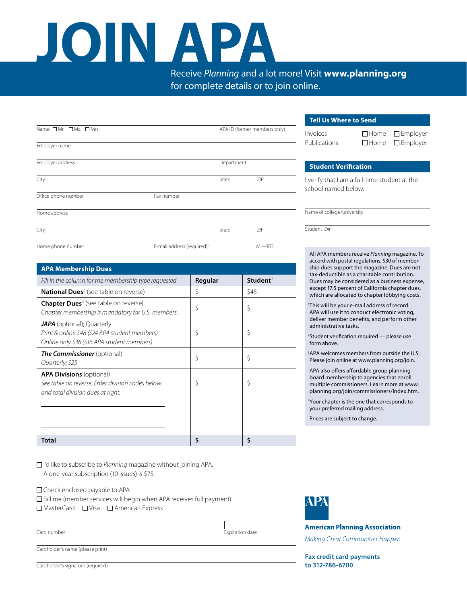# **JOIN APA**

Receive *Planning* and a lot more! Visit **www.planning.org** for complete details or to join online.

|                      |                                        |                              |           | <b>Tell Us Where to Send</b>                                         |                                                                                                                                                                                                      |                 |
|----------------------|----------------------------------------|------------------------------|-----------|----------------------------------------------------------------------|------------------------------------------------------------------------------------------------------------------------------------------------------------------------------------------------------|-----------------|
| Name OMr. OMs. OMrs. |                                        | APA ID (former members only) |           | <i><u><b>Invoices</b></u></i><br>Publications                        | $\Box$ Home<br>$\Box$ Home                                                                                                                                                                           | $\Box$ Employer |
| Employer name        |                                        |                              |           |                                                                      |                                                                                                                                                                                                      | $\Box$ Employer |
| Employer address     |                                        | Department                   |           | <b>Student Verification</b>                                          |                                                                                                                                                                                                      |                 |
| City                 |                                        | State                        | ZIP       | I verify that I am a full-time student at the<br>school named below. |                                                                                                                                                                                                      |                 |
| Office phone number  | Fax number                             |                              |           |                                                                      |                                                                                                                                                                                                      |                 |
| Home address         |                                        |                              |           | Name of college/university                                           |                                                                                                                                                                                                      |                 |
| City                 |                                        | State                        | ZIP       | Student ID#                                                          |                                                                                                                                                                                                      |                 |
| Home phone number    | E-mail address (required) <sup>1</sup> |                              | $M - REG$ |                                                                      | All APA members receive Planning magazine. To<br>$\mathbf{r}$ , $\mathbf{r}$ , $\mathbf{r}$ , $\mathbf{r}$ , $\mathbf{r}$ , $\mathbf{r}$ , $\mathbf{r}$ , $\mathbf{r}$ , $\mathbf{r}$ , $\mathbf{r}$ |                 |

| <b>APA Membership Dues</b>                                                                                                         |         |                      |
|------------------------------------------------------------------------------------------------------------------------------------|---------|----------------------|
| Fill in the column for the membership type requested                                                                               | Regular | Student <sup>2</sup> |
| <b>National Dues</b> <sup>3</sup> (see table on reverse)                                                                           | \$      | \$45                 |
| <b>Chapter Dues</b> <sup>4</sup> (see table on reverse)<br>Chapter membership is mandatory for U.S. members.                       | \$      | \$                   |
| <b>JAPA</b> (optional); Quarterly<br>Print & online \$48 (\$24 APA student members)<br>Online only \$36 (\$16 APA student members) | \$      | \$                   |
| <b>The Commissioner</b> (optional)<br>Quarterly; \$25                                                                              | \$      | \$                   |
| <b>APA Divisions</b> (optional)<br>See table on reverse. Enter division codes below<br>and total division dues at right.           | \$      | \$                   |
| <b>Total</b>                                                                                                                       | Ś       | Ś                    |

I'd like to subscribe to *Planning* magazine without joining APA. A one-year subscription (10 issues) is \$75.

Check enclosed payable to APA  $\square$  Bill me (member services will begin when APA receives full payment)  $\Box$  MasterCard  $\Box$  Visa  $\Box$  American Express



**American Planning Association** 

Making Great Communities Happen

**Fax credit card payments to 312-786-6700**

**Card number** Expiration date

Cardholder's name (please print)

Cardholder's signature (required)

accord with postal regulations, \$30 of membership dues support the magazine. Dues are not tax-deductible as a charitable contribution. Dues may be considered as a business expense, except 17.5 percent of California chapter dues, which are allocated to chapter lobbying costs.

1 This will be your e-mail address of record. APA will use it to conduct electronic voting, deliver member benefits, and perform other administrative tasks.

2 Student verification required — please use form above.

3 APA welcomes members from outside the U.S. Please join online at www.planning.org/join.

APA also offers affordable group planning board membership to agencies that enroll multiple commissioners. Learn more at www. planning.org/join/commissioners/index.htm.

4 Your chapter is the one that corresponds to your preferred mailing address.

Prices are subject to change.